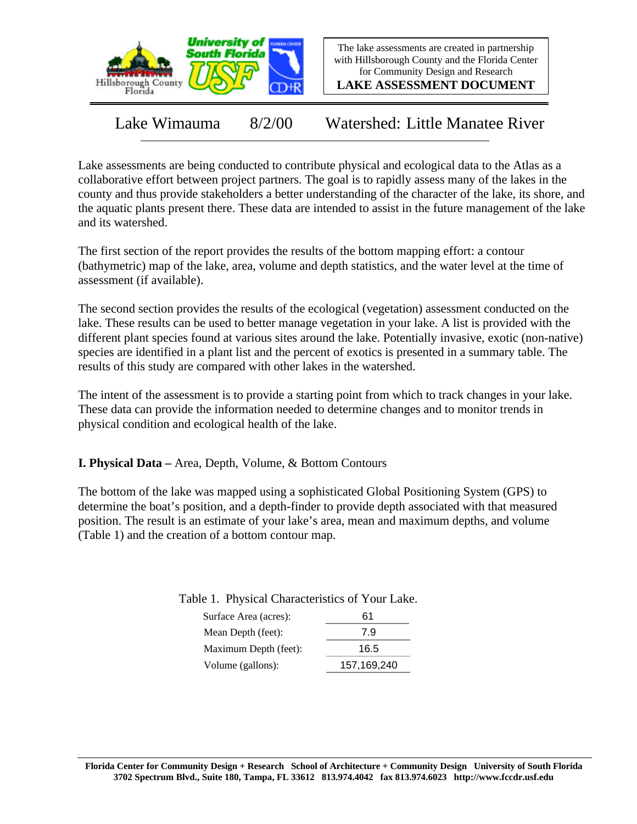

The lake assessments are created in partnership with Hillsborough County and the Florida Center for Community Design and Research

**LAKE ASSESSMENT DOCUMENT**

Lake Wimauma 8/2/00 Watershed: Little Manatee River

Lake assessments are being conducted to contribute physical and ecological data to the Atlas as a collaborative effort between project partners. The goal is to rapidly assess many of the lakes in the county and thus provide stakeholders a better understanding of the character of the lake, its shore, and the aquatic plants present there. These data are intended to assist in the future management of the lake and its watershed.

The first section of the report provides the results of the bottom mapping effort: a contour (bathymetric) map of the lake, area, volume and depth statistics, and the water level at the time of assessment (if available).

The second section provides the results of the ecological (vegetation) assessment conducted on the lake. These results can be used to better manage vegetation in your lake. A list is provided with the different plant species found at various sites around the lake. Potentially invasive, exotic (non-native) species are identified in a plant list and the percent of exotics is presented in a summary table. The results of this study are compared with other lakes in the watershed.

The intent of the assessment is to provide a starting point from which to track changes in your lake. These data can provide the information needed to determine changes and to monitor trends in physical condition and ecological health of the lake.

**I. Physical Data –** Area, Depth, Volume, & Bottom Contours

The bottom of the lake was mapped using a sophisticated Global Positioning System (GPS) to determine the boat's position, and a depth-finder to provide depth associated with that measured position. The result is an estimate of your lake's area, mean and maximum depths, and volume (Table 1) and the creation of a bottom contour map.

Table 1. Physical Characteristics of Your Lake.

| Surface Area (acres): | 61          |
|-----------------------|-------------|
| Mean Depth (feet):    | 7.9         |
| Maximum Depth (feet): | 16.5        |
| Volume (gallons):     | 157,169,240 |
|                       |             |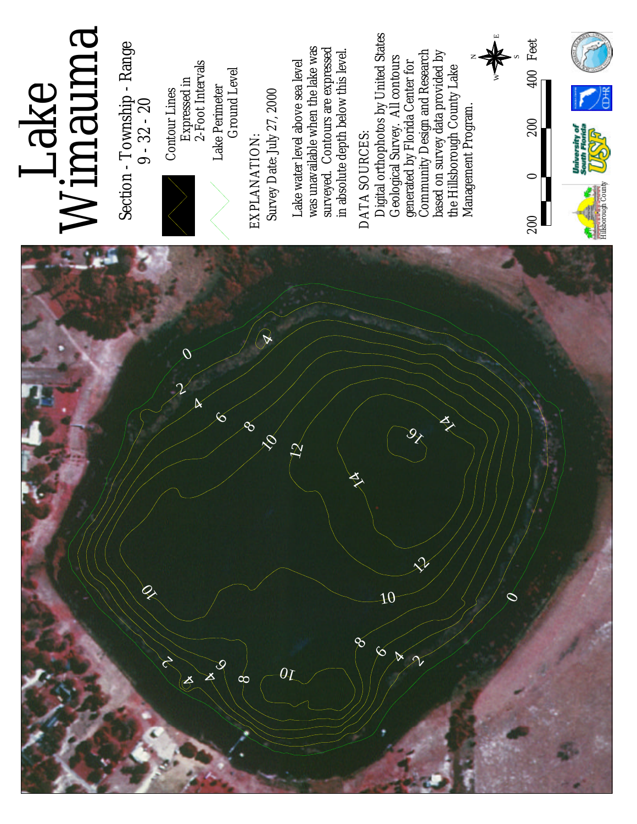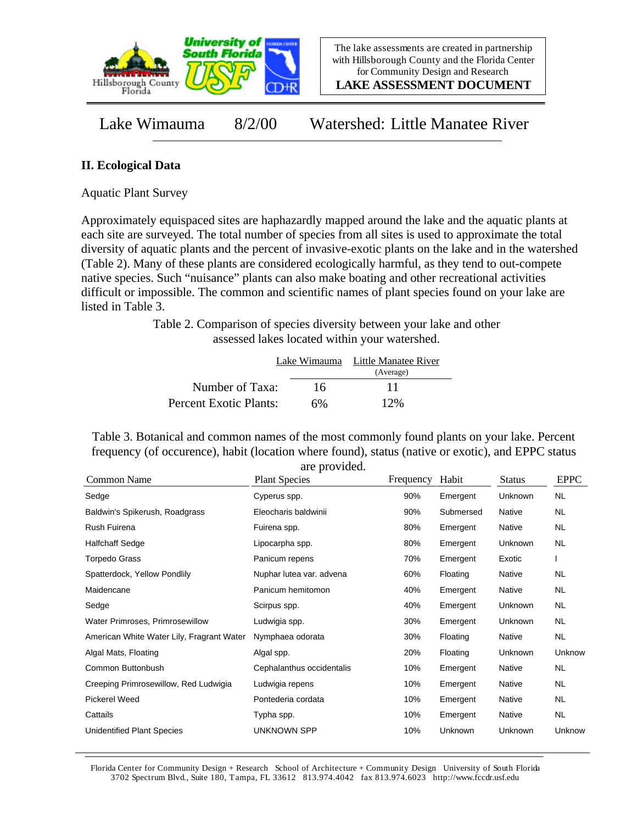

**LAKE ASSESSMENT DOCUMENT**

Lake Wimauma 8/2/00 Watershed: Little Manatee River

## **II. Ecological Data**

Aquatic Plant Survey

Approximately equispaced sites are haphazardly mapped around the lake and the aquatic plants at each site are surveyed. The total number of species from all sites is used to approximate the total diversity of aquatic plants and the percent of invasive-exotic plants on the lake and in the watershed (Table 2). Many of these plants are considered ecologically harmful, as they tend to out-compete native species. Such "nuisance" plants can also make boating and other recreational activities difficult or impossible. The common and scientific names of plant species found on your lake are listed in Table 3.

> Table 2. Comparison of species diversity between your lake and other assessed lakes located within your watershed.

|                        |    | Lake Wimauma Little Manatee River |
|------------------------|----|-----------------------------------|
|                        |    | (Average)                         |
| Number of Taxa:        | 16 | 11                                |
| Percent Exotic Plants: | 6% | 12%                               |

Table 3. Botanical and common names of the most commonly found plants on your lake. Percent frequency (of occurence), habit (location where found), status (native or exotic), and EPPC status are provided.

| <b>Plant Species</b>      | Frequency | Habit     | <b>Status</b> | <b>EPPC</b> |
|---------------------------|-----------|-----------|---------------|-------------|
| Cyperus spp.              | 90%       | Emergent  | Unknown       | <b>NL</b>   |
| Eleocharis baldwinii      | 90%       | Submersed | Native        | NL.         |
| Fuirena spp.              | 80%       | Emergent  | Native        | NL.         |
| Lipocarpha spp.           | 80%       | Emergent  | Unknown       | NL          |
| Panicum repens            | 70%       | Emergent  | Exotic        |             |
| Nuphar lutea var. advena  | 60%       | Floating  | Native        | NL          |
| Panicum hemitomon         | 40%       | Emergent  | Native        | NL.         |
| Scirpus spp.              | 40%       | Emergent  | Unknown       | NL.         |
| Ludwigia spp.             | 30%       | Emergent  | Unknown       | NL.         |
| Nymphaea odorata          | 30%       | Floating  | Native        | <b>NL</b>   |
| Algal spp.                | 20%       | Floating  | Unknown       | Unknow      |
| Cephalanthus occidentalis | 10%       | Emergent  | Native        | NL.         |
| Ludwigia repens           | 10%       | Emergent  | Native        | NL          |
| Pontederia cordata        | 10%       | Emergent  | Native        | NL.         |
| Typha spp.                | 10%       | Emergent  | Native        | NL.         |
| <b>UNKNOWN SPP</b>        | 10%       | Unknown   | Unknown       | Unknow      |
|                           |           |           |               |             |

Florida Center for Community Design + Research School of Architecture + Community Design University of South Florida 3702 Spectrum Blvd., Suite 180, Tampa, FL 33612 813.974.4042 fax 813.974.6023 http://www.fccdr.usf.edu